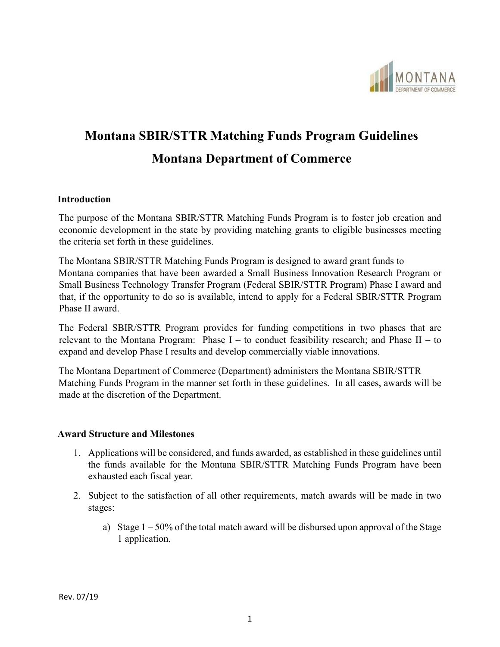

# **Montana SBIR/STTR Matching Funds Program Guidelines Montana Department of Commerce**

#### **Introduction**

The purpose of the Montana SBIR/STTR Matching Funds Program is to foster job creation and economic development in the state by providing matching grants to eligible businesses meeting the criteria set forth in these guidelines.

The Montana SBIR/STTR Matching Funds Program is designed to award grant funds to Montana companies that have been awarded a Small Business Innovation Research Program or Small Business Technology Transfer Program (Federal SBIR/STTR Program) Phase I award and that, if the opportunity to do so is available, intend to apply for a Federal SBIR/STTR Program Phase II award.

The Federal SBIR/STTR Program provides for funding competitions in two phases that are relevant to the Montana Program: Phase  $I -$  to conduct feasibility research; and Phase  $II -$  to expand and develop Phase I results and develop commercially viable innovations.

The Montana Department of Commerce (Department) administers the Montana SBIR/STTR Matching Funds Program in the manner set forth in these guidelines. In all cases, awards will be made at the discretion of the Department.

#### **Award Structure and Milestones**

- 1. Applications will be considered, and funds awarded, as established in these guidelines until the funds available for the Montana SBIR/STTR Matching Funds Program have been exhausted each fiscal year.
- 2. Subject to the satisfaction of all other requirements, match awards will be made in two stages:
	- a) Stage  $1 50\%$  of the total match award will be disbursed upon approval of the Stage 1 application.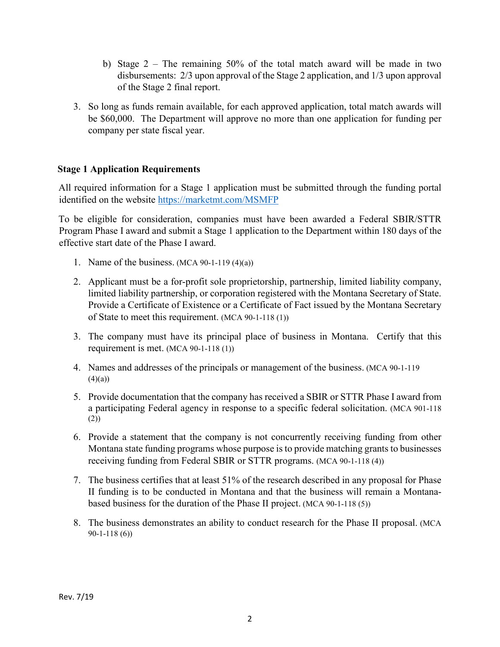- b) Stage 2 The remaining 50% of the total match award will be made in two disbursements: 2/3 upon approval of the Stage 2 application, and 1/3 upon approval of the Stage 2 final report.
- 3. So long as funds remain available, for each approved application, total match awards will be \$60,000. The Department will approve no more than one application for funding per company per state fiscal year.

#### **Stage 1 Application Requirements**

All required information for a Stage 1 application must be submitted through the funding portal identified on the website<https://marketmt.com/MSMFP>

To be eligible for consideration, companies must have been awarded a Federal SBIR/STTR Program Phase I award and submit a Stage 1 application to the Department within 180 days of the effective start date of the Phase I award.

- 1. Name of the business. (MCA 90-1-119 (4)(a))
- 2. Applicant must be a for-profit sole proprietorship, partnership, limited liability company, limited liability partnership, or corporation registered with the Montana Secretary of State. Provide a Certificate of Existence or a Certificate of Fact issued by the Montana Secretary of State to meet this requirement. (MCA 90-1-118 (1))
- 3. The company must have its principal place of business in Montana. Certify that this requirement is met. (MCA 90-1-118 (1))
- 4. Names and addresses of the principals or management of the business. (MCA 90-1-119  $(4)(a)$
- 5. Provide documentation that the company has received a SBIR or STTR Phase I award from a participating Federal agency in response to a specific federal solicitation. (MCA 901-118 (2))
- 6. Provide a statement that the company is not concurrently receiving funding from other Montana state funding programs whose purpose is to provide matching grants to businesses receiving funding from Federal SBIR or STTR programs. (MCA 90-1-118 (4))
- 7. The business certifies that at least 51% of the research described in any proposal for Phase II funding is to be conducted in Montana and that the business will remain a Montanabased business for the duration of the Phase II project. (MCA 90-1-118 (5))
- 8. The business demonstrates an ability to conduct research for the Phase II proposal. (MCA 90-1-118 (6))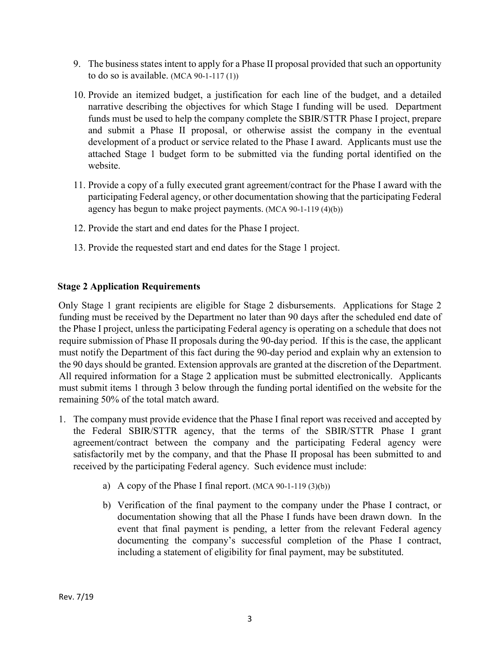- 9. The business states intent to apply for a Phase II proposal provided that such an opportunity to do so is available.  $(MCA 90-1-117(1))$
- 10. Provide an itemized budget, a justification for each line of the budget, and a detailed narrative describing the objectives for which Stage I funding will be used. Department funds must be used to help the company complete the SBIR/STTR Phase I project, prepare and submit a Phase II proposal, or otherwise assist the company in the eventual development of a product or service related to the Phase I award. Applicants must use the attached Stage 1 budget form to be submitted via the funding portal identified on the website.
- 11. Provide a copy of a fully executed grant agreement/contract for the Phase I award with the participating Federal agency, or other documentation showing that the participating Federal agency has begun to make project payments. (MCA 90-1-119 (4)(b))
- 12. Provide the start and end dates for the Phase I project.
- 13. Provide the requested start and end dates for the Stage 1 project.

#### **Stage 2 Application Requirements**

Only Stage 1 grant recipients are eligible for Stage 2 disbursements. Applications for Stage 2 funding must be received by the Department no later than 90 days after the scheduled end date of the Phase I project, unless the participating Federal agency is operating on a schedule that does not require submission of Phase II proposals during the 90-day period. If this is the case, the applicant must notify the Department of this fact during the 90-day period and explain why an extension to the 90 days should be granted. Extension approvals are granted at the discretion of the Department. All required information for a Stage 2 application must be submitted electronically. Applicants must submit items 1 through 3 below through the funding portal identified on the website for the remaining 50% of the total match award.

- 1. The company must provide evidence that the Phase I final report was received and accepted by the Federal SBIR/STTR agency, that the terms of the SBIR/STTR Phase I grant agreement/contract between the company and the participating Federal agency were satisfactorily met by the company, and that the Phase II proposal has been submitted to and received by the participating Federal agency. Such evidence must include:
	- a) A copy of the Phase I final report.  $(MCA 90-1-119(3)(b))$
	- b) Verification of the final payment to the company under the Phase I contract, or documentation showing that all the Phase I funds have been drawn down. In the event that final payment is pending, a letter from the relevant Federal agency documenting the company's successful completion of the Phase I contract, including a statement of eligibility for final payment, may be substituted.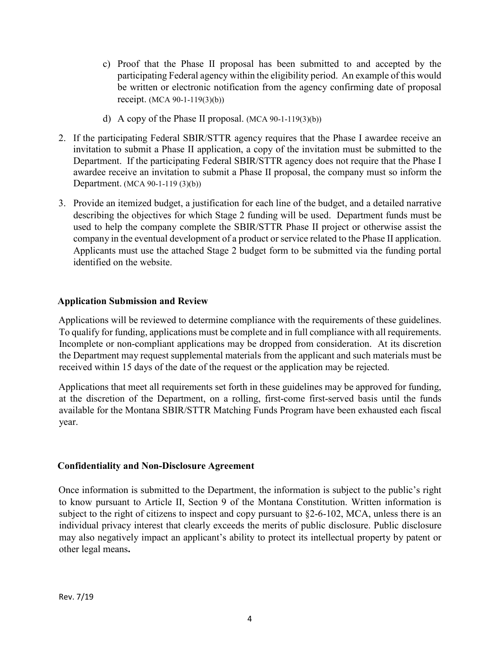- c) Proof that the Phase II proposal has been submitted to and accepted by the participating Federal agency within the eligibility period. An example of this would be written or electronic notification from the agency confirming date of proposal receipt. (MCA 90-1-119(3)(b))
- d) A copy of the Phase II proposal.  $(MCA 90-1-119(3)(b))$
- 2. If the participating Federal SBIR/STTR agency requires that the Phase I awardee receive an invitation to submit a Phase II application, a copy of the invitation must be submitted to the Department. If the participating Federal SBIR/STTR agency does not require that the Phase I awardee receive an invitation to submit a Phase II proposal, the company must so inform the Department. (MCA 90-1-119 (3)(b))
- 3. Provide an itemized budget, a justification for each line of the budget, and a detailed narrative describing the objectives for which Stage 2 funding will be used. Department funds must be used to help the company complete the SBIR/STTR Phase II project or otherwise assist the company in the eventual development of a product or service related to the Phase II application. Applicants must use the attached Stage 2 budget form to be submitted via the funding portal identified on the website.

#### **Application Submission and Review**

Applications will be reviewed to determine compliance with the requirements of these guidelines. To qualify for funding, applications must be complete and in full compliance with all requirements. Incomplete or non-compliant applications may be dropped from consideration. At its discretion the Department may request supplemental materials from the applicant and such materials must be received within 15 days of the date of the request or the application may be rejected.

Applications that meet all requirements set forth in these guidelines may be approved for funding, at the discretion of the Department, on a rolling, first-come first-served basis until the funds available for the Montana SBIR/STTR Matching Funds Program have been exhausted each fiscal year.

#### **Confidentiality and Non-Disclosure Agreement**

Once information is submitted to the Department, the information is subject to the public's right to know pursuant to Article II, Section 9 of the Montana Constitution. Written information is subject to the right of citizens to inspect and copy pursuant to §2-6-102, MCA, unless there is an individual privacy interest that clearly exceeds the merits of public disclosure. Public disclosure may also negatively impact an applicant's ability to protect its intellectual property by patent or other legal means**.**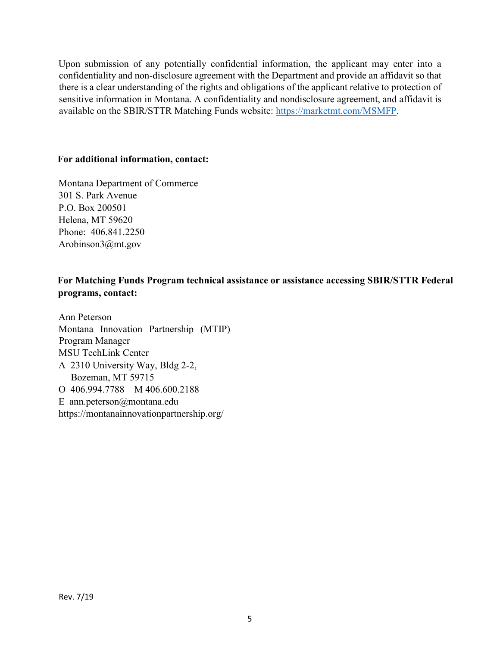Upon submission of any potentially confidential information, the applicant may enter into a confidentiality and non-disclosure agreement with the Department and provide an affidavit so that there is a clear understanding of the rights and obligations of the applicant relative to protection of sensitive information in Montana. A confidentiality and nondisclosure agreement, and affidavit is available on the SBIR/STTR Matching Funds website: [https://marketmt.com/MSMFP.](https://marketmt.com/MSMFP)

#### **For additional information, contact:**

Montana Department of Commerce 301 S. Park Avenue P.O. Box 200501 Helena, MT 59620 Phone: 406.841.2250 Arobinson3@mt.gov

### **For Matching Funds Program technical assistance or assistance accessing SBIR/STTR Federal programs, contact:**

Ann Peterson Montana Innovation Partnership (MTIP) Program Manager MSU TechLink Center A 2310 University Way, Bldg 2-2, Bozeman, MT 59715 O 406.994.7788 M 406.600.2188 E ann.peterson@montana.edu https://montanainnovationpartnership.org/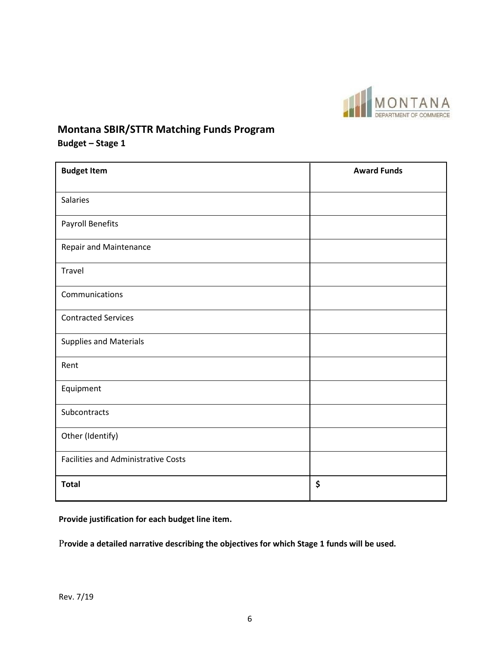

## **Montana SBIR/STTR Matching Funds Program**

**Budget – Stage 1** 

| <b>Budget Item</b>                         | <b>Award Funds</b> |
|--------------------------------------------|--------------------|
|                                            |                    |
| <b>Salaries</b>                            |                    |
| <b>Payroll Benefits</b>                    |                    |
| <b>Repair and Maintenance</b>              |                    |
| Travel                                     |                    |
| Communications                             |                    |
| <b>Contracted Services</b>                 |                    |
| <b>Supplies and Materials</b>              |                    |
| Rent                                       |                    |
| Equipment                                  |                    |
| Subcontracts                               |                    |
| Other (Identify)                           |                    |
| <b>Facilities and Administrative Costs</b> |                    |
| <b>Total</b>                               | \$                 |

**Provide justification for each budget line item.** 

P**rovide a detailed narrative describing the objectives for which Stage 1 funds will be used.**